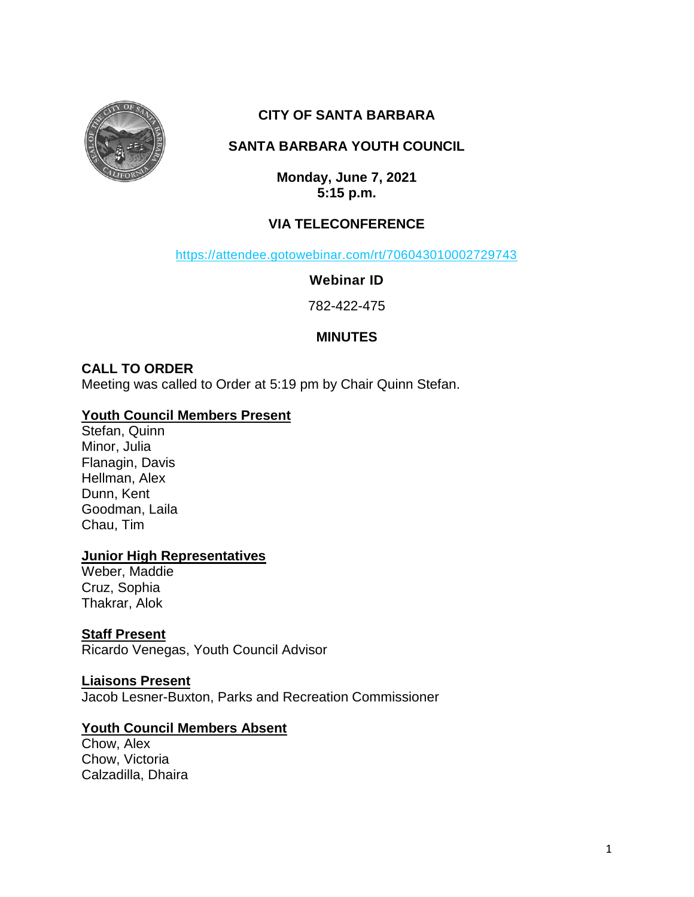

# **CITY OF SANTA BARBARA**

# **SANTA BARBARA YOUTH COUNCIL**

**Monday, June 7, 2021 5:15 p.m.**

# **VIA TELECONFERENCE**

<https://attendee.gotowebinar.com/rt/706043010002729743>

**Webinar ID**

782-422-475

# **MINUTES**

# **CALL TO ORDER**

Meeting was called to Order at 5:19 pm by Chair Quinn Stefan.

## **Youth Council Members Present**

Stefan, Quinn Minor, Julia Flanagin, Davis Hellman, Alex Dunn, Kent Goodman, Laila Chau, Tim

## **Junior High Representatives**

Weber, Maddie Cruz, Sophia Thakrar, Alok

# **Staff Present**

Ricardo Venegas, Youth Council Advisor

## **Liaisons Present**

Jacob Lesner-Buxton, Parks and Recreation Commissioner

# **Youth Council Members Absent**

Chow, Alex Chow, Victoria Calzadilla, Dhaira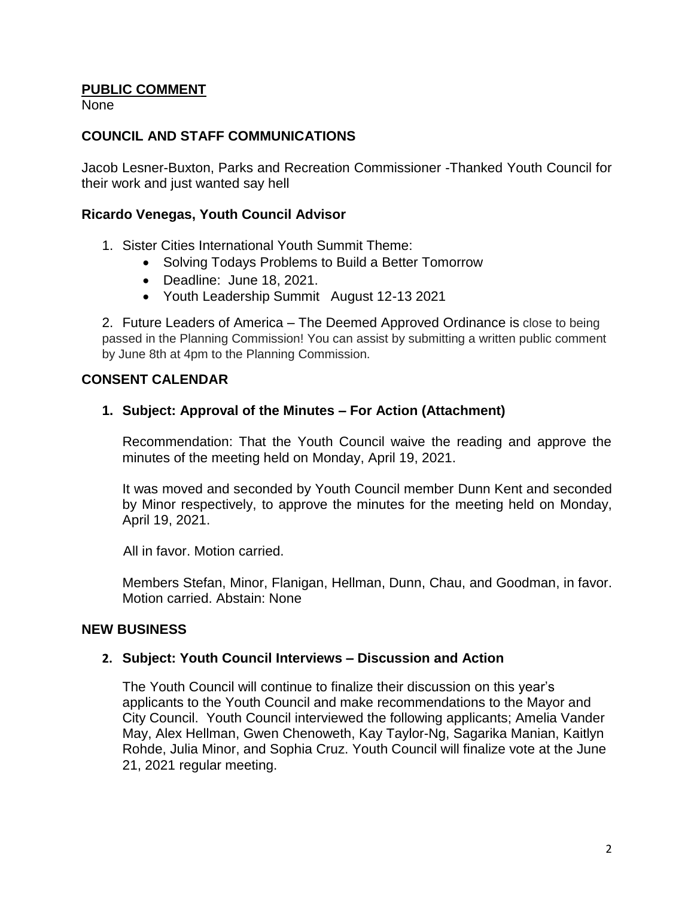## **PUBLIC COMMENT**

None

#### **COUNCIL AND STAFF COMMUNICATIONS**

Jacob Lesner-Buxton, Parks and Recreation Commissioner -Thanked Youth Council for their work and just wanted say hell

#### **Ricardo Venegas, Youth Council Advisor**

- 1. Sister Cities International Youth Summit Theme:
	- Solving Todays Problems to Build a Better Tomorrow
	- Deadline: June 18, 2021.
	- Youth Leadership Summit August 12-13 2021

2. Future Leaders of America – The Deemed Approved Ordinance is close to being passed in the Planning Commission! You can assist by submitting a written public comment by June 8th at 4pm to the Planning Commission.

#### **CONSENT CALENDAR**

#### **1. Subject: Approval of the Minutes – For Action (Attachment)**

Recommendation: That the Youth Council waive the reading and approve the minutes of the meeting held on Monday, April 19, 2021.

It was moved and seconded by Youth Council member Dunn Kent and seconded by Minor respectively, to approve the minutes for the meeting held on Monday, April 19, 2021.

All in favor. Motion carried.

Members Stefan, Minor, Flanigan, Hellman, Dunn, Chau, and Goodman, in favor. Motion carried. Abstain: None

#### **NEW BUSINESS**

#### **2. Subject: Youth Council Interviews – Discussion and Action**

The Youth Council will continue to finalize their discussion on this year's applicants to the Youth Council and make recommendations to the Mayor and City Council. Youth Council interviewed the following applicants; Amelia Vander May, Alex Hellman, Gwen Chenoweth, Kay Taylor-Ng, Sagarika Manian, Kaitlyn Rohde, Julia Minor, and Sophia Cruz. Youth Council will finalize vote at the June 21, 2021 regular meeting.